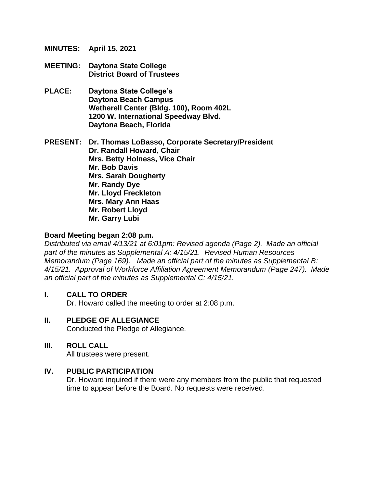**MINUTES: April 15, 2021**

- **MEETING: Daytona State College District Board of Trustees**
- **PLACE: Daytona State College's Daytona Beach Campus Wetherell Center (Bldg. 100), Room 402L 1200 W. International Speedway Blvd. Daytona Beach, Florida**

**PRESENT: Dr. Thomas LoBasso, Corporate Secretary/President Dr. Randall Howard, Chair Mrs. Betty Holness, Vice Chair Mr. Bob Davis Mrs. Sarah Dougherty Mr. Randy Dye Mr. Lloyd Freckleton Mrs. Mary Ann Haas Mr. Robert Lloyd Mr. Garry Lubi**

#### **Board Meeting began 2:08 p.m.**

*Distributed via email 4/13/21 at 6:01pm: Revised agenda (Page 2). Made an official part of the minutes as Supplemental A: 4/15/21. Revised Human Resources Memorandum (Page 169). Made an official part of the minutes as Supplemental B: 4/15/21. Approval of Workforce Affiliation Agreement Memorandum (Page 247). Made an official part of the minutes as Supplemental C: 4/15/21.*

#### **I. CALL TO ORDER**

Dr. Howard called the meeting to order at 2:08 p.m.

#### **II. PLEDGE OF ALLEGIANCE**

Conducted the Pledge of Allegiance.

#### **III. ROLL CALL**

All trustees were present.

#### **IV. PUBLIC PARTICIPATION**

Dr. Howard inquired if there were any members from the public that requested time to appear before the Board. No requests were received.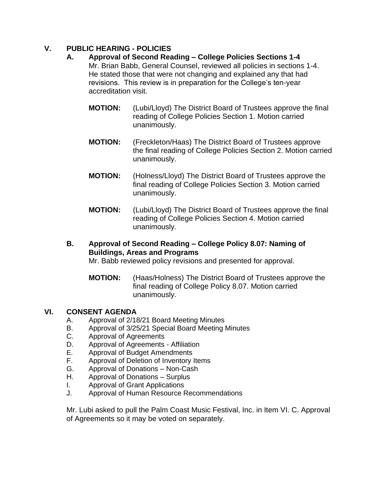# **V. PUBLIC HEARING - POLICIES**

- **A. Approval of Second Reading – College Policies Sections 1-4** Mr. Brian Babb, General Counsel, reviewed all policies in sections 1-4. He stated those that were not changing and explained any that had revisions. This review is in preparation for the College's ten-year accreditation visit.
	- **MOTION:** (Lubi/Lloyd) The District Board of Trustees approve the final reading of College Policies Section 1. Motion carried unanimously.
	- **MOTION:** (Freckleton/Haas) The District Board of Trustees approve the final reading of College Policies Section 2. Motion carried unanimously.
	- **MOTION:** (Holness/Lloyd) The District Board of Trustees approve the final reading of College Policies Section 3. Motion carried unanimously.
	- **MOTION:** (Lubi/Lloyd) The District Board of Trustees approve the final reading of College Policies Section 4. Motion carried unanimously.
- **B. Approval of Second Reading – College Policy 8.07: Naming of Buildings, Areas and Programs**

Mr. Babb reviewed policy revisions and presented for approval.

**MOTION:** (Haas/Holness) The District Board of Trustees approve the final reading of College Policy 8.07. Motion carried unanimously.

## **VI. CONSENT AGENDA**

- A. Approval of 2/18/21 Board Meeting Minutes
- B. Approval of 3/25/21 Special Board Meeting Minutes
- C. Approval of Agreements
- D. Approval of Agreements Affiliation
- E. Approval of Budget Amendments
- F. Approval of Deletion of Inventory Items
- G. Approval of Donations Non-Cash
- H. Approval of Donations Surplus
- I. Approval of Grant Applications
- J. Approval of Human Resource Recommendations

Mr. Lubi asked to pull the Palm Coast Music Festival, Inc. in Item VI. C. Approval of Agreements so it may be voted on separately.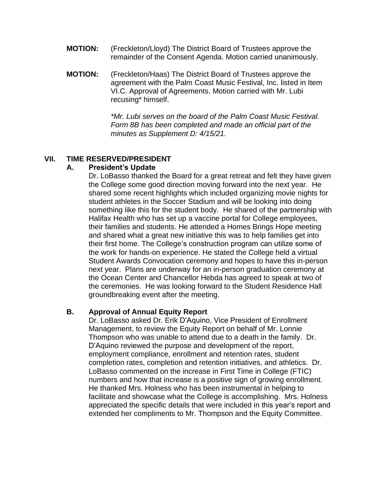- **MOTION:** (Freckleton/Lloyd) The District Board of Trustees approve the remainder of the Consent Agenda. Motion carried unanimously.
- **MOTION:** (Freckleton/Haas) The District Board of Trustees approve the agreement with the Palm Coast Music Festival, Inc. listed in Item VI.C. Approval of Agreements. Motion carried with Mr. Lubi recusing\* himself.

*\*Mr. Lubi serves on the board of the Palm Coast Music Festival. Form 8B has been completed and made an official part of the minutes as Supplement D: 4/15/21.*

#### **VII. TIME RESERVED/PRESIDENT**

#### **A. President's Update**

Dr. LoBasso thanked the Board for a great retreat and felt they have given the College some good direction moving forward into the next year. He shared some recent highlights which included organizing movie nights for student athletes in the Soccer Stadium and will be looking into doing something like this for the student body. He shared of the partnership with Halifax Health who has set up a vaccine portal for College employees, their families and students. He attended a Homes Brings Hope meeting and shared what a great new initiative this was to help families get into their first home. The College's construction program can utilize some of the work for hands-on experience. He stated the College held a virtual Student Awards Convocation ceremony and hopes to have this in-person next year. Plans are underway for an in-person graduation ceremony at the Ocean Center and Chancellor Hebda has agreed to speak at two of the ceremonies. He was looking forward to the Student Residence Hall groundbreaking event after the meeting.

## **B. Approval of Annual Equity Report**

Dr. LoBasso asked Dr. Erik D'Aquino, Vice President of Enrollment Management, to review the Equity Report on behalf of Mr. Lonnie Thompson who was unable to attend due to a death in the family. Dr. D'Aquino reviewed the purpose and development of the report, employment compliance, enrollment and retention rates, student completion rates, completion and retention initiatives, and athletics. Dr. LoBasso commented on the increase in First Time in College (FTIC) numbers and how that increase is a positive sign of growing enrollment. He thanked Mrs. Holness who has been instrumental in helping to facilitate and showcase what the College is accomplishing. Mrs. Holness appreciated the specific details that were included in this year's report and extended her compliments to Mr. Thompson and the Equity Committee.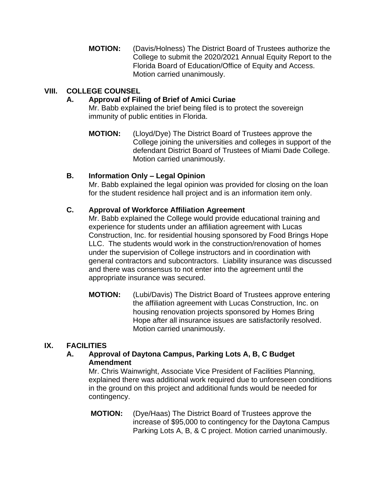**MOTION:** (Davis/Holness) The District Board of Trustees authorize the College to submit the 2020/2021 Annual Equity Report to the Florida Board of Education/Office of Equity and Access. Motion carried unanimously.

# **VIII. COLLEGE COUNSEL**

#### **A. Approval of Filing of Brief of Amici Curiae**

Mr. Babb explained the brief being filed is to protect the sovereign immunity of public entities in Florida.

**MOTION:** (Lloyd/Dye) The District Board of Trustees approve the College joining the universities and colleges in support of the defendant District Board of Trustees of Miami Dade College. Motion carried unanimously.

#### **B. Information Only – Legal Opinion**

Mr. Babb explained the legal opinion was provided for closing on the loan for the student residence hall project and is an information item only.

#### **C. Approval of Workforce Affiliation Agreement**

Mr. Babb explained the College would provide educational training and experience for students under an affiliation agreement with Lucas Construction, Inc. for residential housing sponsored by Food Brings Hope LLC. The students would work in the construction/renovation of homes under the supervision of College instructors and in coordination with general contractors and subcontractors. Liability insurance was discussed and there was consensus to not enter into the agreement until the appropriate insurance was secured.

**MOTION:** (Lubi/Davis) The District Board of Trustees approve entering the affiliation agreement with Lucas Construction, Inc. on housing renovation projects sponsored by Homes Bring Hope after all insurance issues are satisfactorily resolved. Motion carried unanimously.

## **IX. FACILITIES**

#### **A. Approval of Daytona Campus, Parking Lots A, B, C Budget Amendment**

Mr. Chris Wainwright, Associate Vice President of Facilities Planning, explained there was additional work required due to unforeseen conditions in the ground on this project and additional funds would be needed for contingency.

**MOTION:** (Dye/Haas) The District Board of Trustees approve the increase of \$95,000 to contingency for the Daytona Campus Parking Lots A, B, & C project. Motion carried unanimously.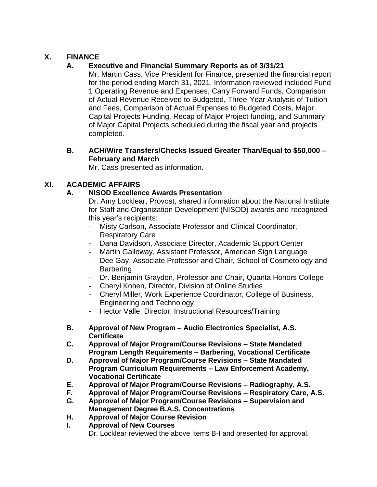# **X. FINANCE**

# **A. Executive and Financial Summary Reports as of 3/31/21**

Mr. Martin Cass, Vice President for Finance, presented the financial report for the period ending March 31, 2021. Information reviewed included Fund 1 Operating Revenue and Expenses, Carry Forward Funds, Comparison of Actual Revenue Received to Budgeted, Three-Year Analysis of Tuition and Fees, Comparison of Actual Expenses to Budgeted Costs, Major Capital Projects Funding, Recap of Major Project funding, and Summary of Major Capital Projects scheduled during the fiscal year and projects completed.

### **B. ACH/Wire Transfers/Checks Issued Greater Than/Equal to \$50,000 – February and March**

Mr. Cass presented as information.

## **XI. ACADEMIC AFFAIRS**

## **A. NISOD Excellence Awards Presentation**

Dr. Amy Locklear, Provost, shared information about the National Institute for Staff and Organization Development (NISOD) awards and recognized this year's recipients:

- Misty Carlson, Associate Professor and Clinical Coordinator, Respiratory Care
- Dana Davidson, Associate Director, Academic Support Center
- Martin Galloway, Assistant Professor, American Sign Language
- Dee Gay, Associate Professor and Chair, School of Cosmetology and **Barbering**
- Dr. Benjamin Graydon, Professor and Chair, Quanta Honors College
- Cheryl Kohen, Director, Division of Online Studies
- Cheryl Miller, Work Experience Coordinator, College of Business, Engineering and Technology
- Hector Valle, Director, Instructional Resources/Training
- **B. Approval of New Program – Audio Electronics Specialist, A.S. Certificate**
- **C. Approval of Major Program/Course Revisions – State Mandated Program Length Requirements – Barbering, Vocational Certificate**
- **D. Approval of Major Program/Course Revisions – State Mandated Program Curriculum Requirements – Law Enforcement Academy, Vocational Certificate**
- **E. Approval of Major Program/Course Revisions – Radiography, A.S.**
- **F. Approval of Major Program/Course Revisions – Respiratory Care, A.S.**
- **G. Approval of Major Program/Course Revisions – Supervision and Management Degree B.A.S. Concentrations**
- **H. Approval of Major Course Revision**
- **I. Approval of New Courses**  Dr. Locklear reviewed the above Items B-I and presented for approval.